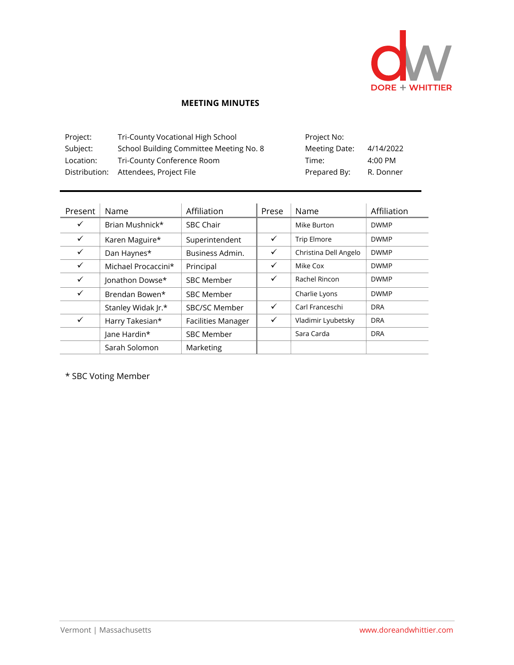

## **MEETING MINUTES**

| Project:  | Tri-County Vocational High School       | Project No:   |           |
|-----------|-----------------------------------------|---------------|-----------|
| Subject:  | School Building Committee Meeting No. 8 | Meeting Date: | 4/14/2022 |
| Location: | Tri-County Conference Room              | Time:         | 4:00 PM   |
|           | Distribution: Attendees, Project File   | Prepared By:  | R. Donner |

| Present      | Name                | Affiliation               | Prese        | Name                  | Affiliation |
|--------------|---------------------|---------------------------|--------------|-----------------------|-------------|
| $\checkmark$ | Brian Mushnick*     | <b>SBC Chair</b>          |              | Mike Burton           | <b>DWMP</b> |
| $\checkmark$ | Karen Maguire*      | Superintendent            | $\checkmark$ | <b>Trip Elmore</b>    | <b>DWMP</b> |
| $\checkmark$ | Dan Haynes*         | Business Admin.           | ✓            | Christina Dell Angelo | <b>DWMP</b> |
| $\checkmark$ | Michael Procaccini* | Principal                 | ✓            | Mike Cox              | <b>DWMP</b> |
| $\checkmark$ | Jonathon Dowse*     | <b>SBC Member</b>         | ✓            | Rachel Rincon         | <b>DWMP</b> |
| $\checkmark$ | Brendan Bowen*      | <b>SBC Member</b>         |              | Charlie Lyons         | <b>DWMP</b> |
|              | Stanley Widak Jr.*  | <b>SBC/SC Member</b>      | $\checkmark$ | Carl Franceschi       | <b>DRA</b>  |
| $\checkmark$ | Harry Takesian*     | <b>Facilities Manager</b> | ✓            | Vladimir Lyubetsky    | <b>DRA</b>  |
|              | Jane Hardin*        | <b>SBC Member</b>         |              | Sara Carda            | <b>DRA</b>  |
|              | Sarah Solomon       | Marketing                 |              |                       |             |

\* SBC Voting Member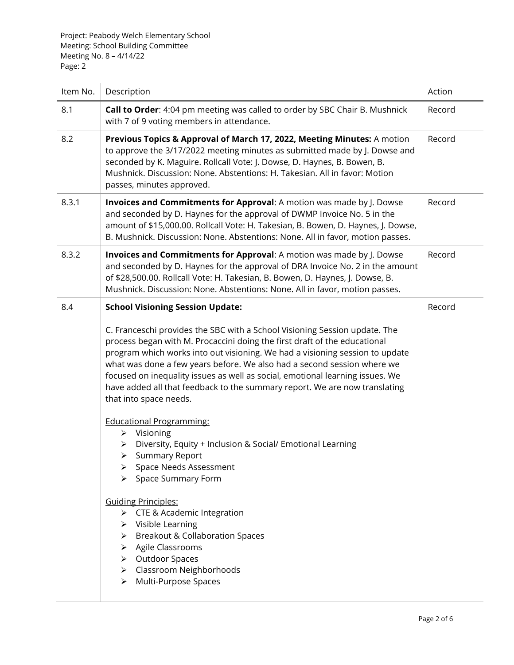Project: Peabody Welch Elementary School Meeting: School Building Committee Meeting No. 8 – 4/14/22 Page: 2

| Item No. | Description                                                                                                                                                                                                                                                                                                                                                                                                                                                                                                                                                                                                                                                                                                                                                                                                                                                                                                                                               | Action |
|----------|-----------------------------------------------------------------------------------------------------------------------------------------------------------------------------------------------------------------------------------------------------------------------------------------------------------------------------------------------------------------------------------------------------------------------------------------------------------------------------------------------------------------------------------------------------------------------------------------------------------------------------------------------------------------------------------------------------------------------------------------------------------------------------------------------------------------------------------------------------------------------------------------------------------------------------------------------------------|--------|
| 8.1      | Call to Order: 4:04 pm meeting was called to order by SBC Chair B. Mushnick<br>with 7 of 9 voting members in attendance.                                                                                                                                                                                                                                                                                                                                                                                                                                                                                                                                                                                                                                                                                                                                                                                                                                  | Record |
| 8.2      | Previous Topics & Approval of March 17, 2022, Meeting Minutes: A motion<br>to approve the 3/17/2022 meeting minutes as submitted made by J. Dowse and<br>seconded by K. Maguire. Rollcall Vote: J. Dowse, D. Haynes, B. Bowen, B.<br>Mushnick. Discussion: None. Abstentions: H. Takesian. All in favor: Motion<br>passes, minutes approved.                                                                                                                                                                                                                                                                                                                                                                                                                                                                                                                                                                                                              | Record |
| 8.3.1    | Invoices and Commitments for Approval: A motion was made by J. Dowse<br>and seconded by D. Haynes for the approval of DWMP Invoice No. 5 in the<br>amount of \$15,000.00. Rollcall Vote: H. Takesian, B. Bowen, D. Haynes, J. Dowse,<br>B. Mushnick. Discussion: None. Abstentions: None. All in favor, motion passes.                                                                                                                                                                                                                                                                                                                                                                                                                                                                                                                                                                                                                                    | Record |
| 8.3.2    | Invoices and Commitments for Approval: A motion was made by J. Dowse<br>and seconded by D. Haynes for the approval of DRA Invoice No. 2 in the amount<br>of \$28,500.00. Rollcall Vote: H. Takesian, B. Bowen, D. Haynes, J. Dowse, B.<br>Mushnick. Discussion: None. Abstentions: None. All in favor, motion passes.                                                                                                                                                                                                                                                                                                                                                                                                                                                                                                                                                                                                                                     | Record |
| 8.4      | <b>School Visioning Session Update:</b><br>C. Franceschi provides the SBC with a School Visioning Session update. The<br>process began with M. Procaccini doing the first draft of the educational<br>program which works into out visioning. We had a visioning session to update<br>what was done a few years before. We also had a second session where we<br>focused on inequality issues as well as social, emotional learning issues. We<br>have added all that feedback to the summary report. We are now translating<br>that into space needs.<br><b>Educational Programming:</b><br>$\triangleright$ Visioning<br>Diversity, Equity + Inclusion & Social/ Emotional Learning<br>➤<br><b>Summary Report</b><br>> Space Needs Assessment<br>> Space Summary Form<br><b>Guiding Principles:</b><br>> CTE & Academic Integration<br>$\triangleright$ Visible Learning<br>> Breakout & Collaboration Spaces<br>> Agile Classrooms<br>> Outdoor Spaces | Record |
|          | > Classroom Neighborhoods<br>> Multi-Purpose Spaces                                                                                                                                                                                                                                                                                                                                                                                                                                                                                                                                                                                                                                                                                                                                                                                                                                                                                                       |        |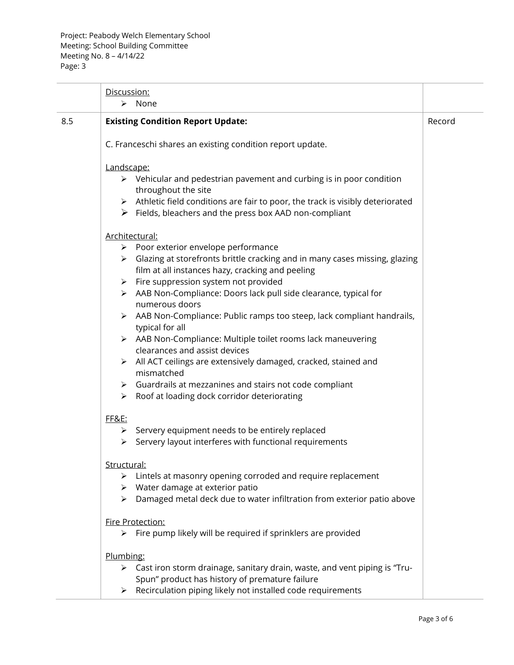|     | Discussion:                                                                                                                                                                                                                                                                                                                                                                                                                                                                                                                                                                                                                                                                                                                                                                                                                                                                                                                                                                                                                                  |        |
|-----|----------------------------------------------------------------------------------------------------------------------------------------------------------------------------------------------------------------------------------------------------------------------------------------------------------------------------------------------------------------------------------------------------------------------------------------------------------------------------------------------------------------------------------------------------------------------------------------------------------------------------------------------------------------------------------------------------------------------------------------------------------------------------------------------------------------------------------------------------------------------------------------------------------------------------------------------------------------------------------------------------------------------------------------------|--------|
|     | $\triangleright$ None                                                                                                                                                                                                                                                                                                                                                                                                                                                                                                                                                                                                                                                                                                                                                                                                                                                                                                                                                                                                                        |        |
| 8.5 | <b>Existing Condition Report Update:</b>                                                                                                                                                                                                                                                                                                                                                                                                                                                                                                                                                                                                                                                                                                                                                                                                                                                                                                                                                                                                     | Record |
|     | C. Franceschi shares an existing condition report update.                                                                                                                                                                                                                                                                                                                                                                                                                                                                                                                                                                                                                                                                                                                                                                                                                                                                                                                                                                                    |        |
|     | Landscape:<br>$\triangleright$ Vehicular and pedestrian pavement and curbing is in poor condition<br>throughout the site<br>$\triangleright$ Athletic field conditions are fair to poor, the track is visibly deteriorated<br>$\triangleright$ Fields, bleachers and the press box AAD non-compliant<br>Architectural:<br>$\triangleright$ Poor exterior envelope performance<br>> Glazing at storefronts brittle cracking and in many cases missing, glazing<br>film at all instances hazy, cracking and peeling<br>$\triangleright$ Fire suppression system not provided<br>> AAB Non-Compliance: Doors lack pull side clearance, typical for<br>numerous doors<br>> AAB Non-Compliance: Public ramps too steep, lack compliant handrails,<br>typical for all<br>> AAB Non-Compliance: Multiple toilet rooms lack maneuvering<br>clearances and assist devices<br>$\triangleright$ All ACT ceilings are extensively damaged, cracked, stained and<br>mismatched<br>$\triangleright$ Guardrails at mezzanines and stairs not code compliant |        |
|     | Roof at loading dock corridor deteriorating<br>$\triangleright$<br>FF&E:<br>$\triangleright$ Servery equipment needs to be entirely replaced<br>Servery layout interferes with functional requirements<br>≻                                                                                                                                                                                                                                                                                                                                                                                                                                                                                                                                                                                                                                                                                                                                                                                                                                  |        |
|     | Structural:<br>$\triangleright$ Lintels at masonry opening corroded and require replacement<br>$\triangleright$ Water damage at exterior patio<br>$\triangleright$ Damaged metal deck due to water infiltration from exterior patio above                                                                                                                                                                                                                                                                                                                                                                                                                                                                                                                                                                                                                                                                                                                                                                                                    |        |
|     | Fire Protection:<br>$\triangleright$ Fire pump likely will be required if sprinklers are provided                                                                                                                                                                                                                                                                                                                                                                                                                                                                                                                                                                                                                                                                                                                                                                                                                                                                                                                                            |        |
|     | Plumbing:<br>> Cast iron storm drainage, sanitary drain, waste, and vent piping is "Tru-<br>Spun" product has history of premature failure<br>Recirculation piping likely not installed code requirements<br>≻                                                                                                                                                                                                                                                                                                                                                                                                                                                                                                                                                                                                                                                                                                                                                                                                                               |        |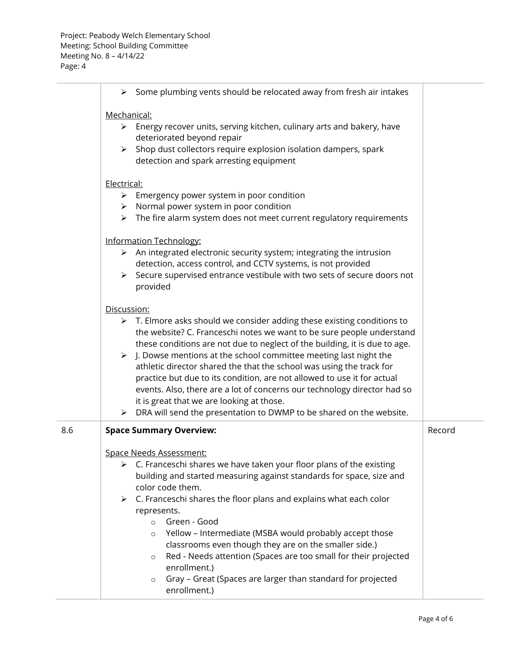|     | $\triangleright$ Some plumbing vents should be relocated away from fresh air intakes                                                                            |        |  |
|-----|-----------------------------------------------------------------------------------------------------------------------------------------------------------------|--------|--|
|     | Mechanical:                                                                                                                                                     |        |  |
|     | $\triangleright$ Energy recover units, serving kitchen, culinary arts and bakery, have                                                                          |        |  |
|     | deteriorated beyond repair                                                                                                                                      |        |  |
|     | Shop dust collectors require explosion isolation dampers, spark<br>$\blacktriangleright$                                                                        |        |  |
|     | detection and spark arresting equipment                                                                                                                         |        |  |
|     | Electrical:                                                                                                                                                     |        |  |
|     | $\triangleright$ Emergency power system in poor condition                                                                                                       |        |  |
|     | $\triangleright$ Normal power system in poor condition                                                                                                          |        |  |
|     | $\triangleright$ The fire alarm system does not meet current regulatory requirements                                                                            |        |  |
|     | <b>Information Technology:</b>                                                                                                                                  |        |  |
|     | $\triangleright$ An integrated electronic security system; integrating the intrusion                                                                            |        |  |
|     | detection, access control, and CCTV systems, is not provided                                                                                                    |        |  |
|     | > Secure supervised entrance vestibule with two sets of secure doors not                                                                                        |        |  |
|     | provided                                                                                                                                                        |        |  |
|     | Discussion:                                                                                                                                                     |        |  |
|     | $\triangleright$ T. Elmore asks should we consider adding these existing conditions to                                                                          |        |  |
|     | the website? C. Franceschi notes we want to be sure people understand                                                                                           |        |  |
|     | these conditions are not due to neglect of the building, it is due to age.<br>$\triangleright$ J. Dowse mentions at the school committee meeting last night the |        |  |
|     | athletic director shared the that the school was using the track for                                                                                            |        |  |
|     | practice but due to its condition, are not allowed to use it for actual                                                                                         |        |  |
|     | events. Also, there are a lot of concerns our technology director had so                                                                                        |        |  |
|     | it is great that we are looking at those.                                                                                                                       |        |  |
|     | DRA will send the presentation to DWMP to be shared on the website.<br>≻                                                                                        |        |  |
| 8.6 | <b>Space Summary Overview:</b>                                                                                                                                  | Record |  |
|     | <b>Space Needs Assessment:</b>                                                                                                                                  |        |  |
|     | C. Franceschi shares we have taken your floor plans of the existing<br>➤                                                                                        |        |  |
|     | building and started measuring against standards for space, size and                                                                                            |        |  |
|     | color code them.                                                                                                                                                |        |  |
|     | C. Franceschi shares the floor plans and explains what each color<br>➤                                                                                          |        |  |
|     | represents.<br>Green - Good<br>$\circ$                                                                                                                          |        |  |
|     | Yellow - Intermediate (MSBA would probably accept those<br>$\circ$                                                                                              |        |  |
|     | classrooms even though they are on the smaller side.)                                                                                                           |        |  |
|     | Red - Needs attention (Spaces are too small for their projected<br>$\circ$                                                                                      |        |  |
|     | enrollment.)                                                                                                                                                    |        |  |
|     | Gray - Great (Spaces are larger than standard for projected<br>$\circ$                                                                                          |        |  |
|     | enrollment.)                                                                                                                                                    |        |  |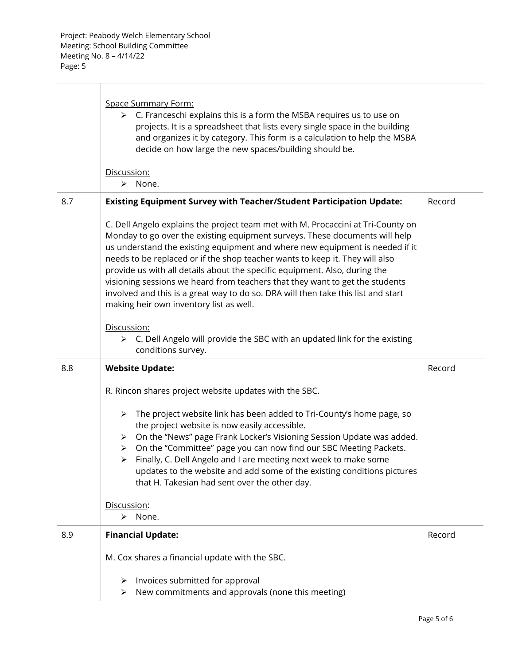|     | Space Summary Form:<br>$\triangleright$ C. Franceschi explains this is a form the MSBA requires us to use on<br>projects. It is a spreadsheet that lists every single space in the building<br>and organizes it by category. This form is a calculation to help the MSBA<br>decide on how large the new spaces/building should be.<br>Discussion:                                                                                                                                                                                                                                                                             |        |
|-----|-------------------------------------------------------------------------------------------------------------------------------------------------------------------------------------------------------------------------------------------------------------------------------------------------------------------------------------------------------------------------------------------------------------------------------------------------------------------------------------------------------------------------------------------------------------------------------------------------------------------------------|--------|
|     | None.<br>➤                                                                                                                                                                                                                                                                                                                                                                                                                                                                                                                                                                                                                    |        |
| 8.7 | <b>Existing Equipment Survey with Teacher/Student Participation Update:</b>                                                                                                                                                                                                                                                                                                                                                                                                                                                                                                                                                   | Record |
|     | C. Dell Angelo explains the project team met with M. Procaccini at Tri-County on<br>Monday to go over the existing equipment surveys. These documents will help<br>us understand the existing equipment and where new equipment is needed if it<br>needs to be replaced or if the shop teacher wants to keep it. They will also<br>provide us with all details about the specific equipment. Also, during the<br>visioning sessions we heard from teachers that they want to get the students<br>involved and this is a great way to do so. DRA will then take this list and start<br>making heir own inventory list as well. |        |
|     | Discussion:                                                                                                                                                                                                                                                                                                                                                                                                                                                                                                                                                                                                                   |        |
|     | $\triangleright$ C. Dell Angelo will provide the SBC with an updated link for the existing<br>conditions survey.                                                                                                                                                                                                                                                                                                                                                                                                                                                                                                              |        |
| 8.8 | <b>Website Update:</b>                                                                                                                                                                                                                                                                                                                                                                                                                                                                                                                                                                                                        | Record |
|     | R. Rincon shares project website updates with the SBC.                                                                                                                                                                                                                                                                                                                                                                                                                                                                                                                                                                        |        |
|     | > The project website link has been added to Tri-County's home page, so<br>the project website is now easily accessible.<br>> On the "News" page Frank Locker's Visioning Session Update was added.<br>On the "Committee" page you can now find our SBC Meeting Packets.<br>$\triangleright$<br>Finally, C. Dell Angelo and I are meeting next week to make some<br>➤<br>updates to the website and add some of the existing conditions pictures<br>that H. Takesian had sent over the other day.                                                                                                                             |        |
|     | Discussion:<br>> None.                                                                                                                                                                                                                                                                                                                                                                                                                                                                                                                                                                                                        |        |
| 8.9 | <b>Financial Update:</b>                                                                                                                                                                                                                                                                                                                                                                                                                                                                                                                                                                                                      | Record |
|     | M. Cox shares a financial update with the SBC.                                                                                                                                                                                                                                                                                                                                                                                                                                                                                                                                                                                |        |
|     | Invoices submitted for approval<br>➤<br>New commitments and approvals (none this meeting)<br>➤                                                                                                                                                                                                                                                                                                                                                                                                                                                                                                                                |        |